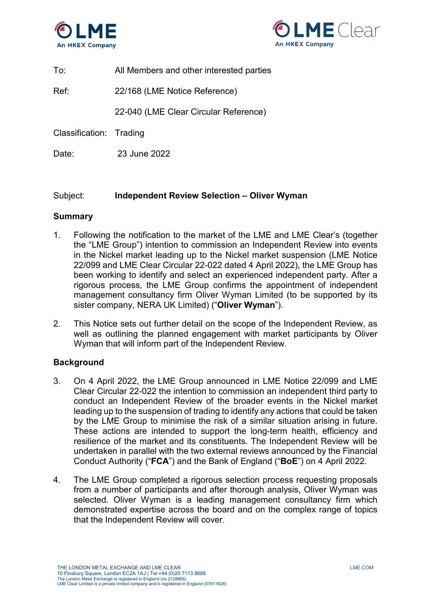



To: All Members and other interested parties

Ref: 22/168 (LME Notice Reference)

22-040 (LME Clear Circular Reference)

Classification: Trading

Date: 23 June 2022

### Subject: **Independent Review Selection – Oliver Wyman**

### **Summary**

- 1. Following the notification to the market of the LME and LME Clear's (together the "LME Group") intention to commission an Independent Review into events in the Nickel market leading up to the Nickel market suspension (LME Notice 22/099 and LME Clear Circular 22-022 dated 4 April 2022), the LME Group has been working to identify and select an experienced independent party. After a rigorous process, the LME Group confirms the appointment of independent management consultancy firm Oliver Wyman Limited (to be supported by its sister company, NERA UK Limited) ("**Oliver Wyman**").
- 2. This Notice sets out further detail on the scope of the Independent Review, as well as outlining the planned engagement with market participants by Oliver Wyman that will inform part of the Independent Review.

### **Background**

- 3. On 4 April 2022, the LME Group announced in LME Notice 22/099 and LME Clear Circular 22-022 the intention to commission an independent third party to conduct an Independent Review of the broader events in the Nickel market leading up to the suspension of trading to identify any actions that could be taken by the LME Group to minimise the risk of a similar situation arising in future. These actions are intended to support the long-term health, efficiency and resilience of the market and its constituents. The Independent Review will be undertaken in parallel with the two external reviews announced by the Financial Conduct Authority ("**FCA**") and the Bank of England ("**BoE**") on 4 April 2022.
- 4. The LME Group completed a rigorous selection process requesting proposals from a number of participants and after thorough analysis, Oliver Wyman was selected. Oliver Wyman is a leading management consultancy firm which demonstrated expertise across the board and on the complex range of topics that the Independent Review will cover.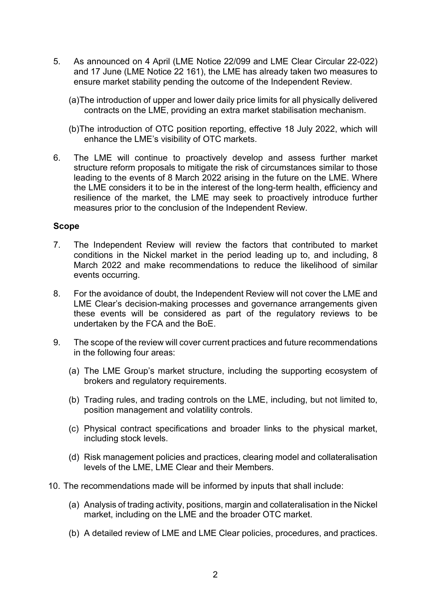- 5. As announced on 4 April (LME Notice 22/099 and LME Clear Circular 22-022) and 17 June (LME Notice 22 161), the LME has already taken two measures to ensure market stability pending the outcome of the Independent Review.
	- (a)The introduction of upper and lower daily price limits for all physically delivered contracts on the LME, providing an extra market stabilisation mechanism.
	- (b)The introduction of OTC position reporting, effective 18 July 2022, which will enhance the LME's visibility of OTC markets.
- 6. The LME will continue to proactively develop and assess further market structure reform proposals to mitigate the risk of circumstances similar to those leading to the events of 8 March 2022 arising in the future on the LME. Where the LME considers it to be in the interest of the long-term health, efficiency and resilience of the market, the LME may seek to proactively introduce further measures prior to the conclusion of the Independent Review.

#### **Scope**

- 7. The Independent Review will review the factors that contributed to market conditions in the Nickel market in the period leading up to, and including, 8 March 2022 and make recommendations to reduce the likelihood of similar events occurring.
- 8. For the avoidance of doubt, the Independent Review will not cover the LME and LME Clear's decision-making processes and governance arrangements given these events will be considered as part of the regulatory reviews to be undertaken by the FCA and the BoE.
- 9. The scope of the review will cover current practices and future recommendations in the following four areas:
	- (a) The LME Group's market structure, including the supporting ecosystem of brokers and regulatory requirements.
	- (b) Trading rules, and trading controls on the LME, including, but not limited to, position management and volatility controls.
	- (c) Physical contract specifications and broader links to the physical market, including stock levels.
	- (d) Risk management policies and practices, clearing model and collateralisation levels of the LME, LME Clear and their Members.
- 10. The recommendations made will be informed by inputs that shall include:
	- (a) Analysis of trading activity, positions, margin and collateralisation in the Nickel market, including on the LME and the broader OTC market.
	- (b) A detailed review of LME and LME Clear policies, procedures, and practices.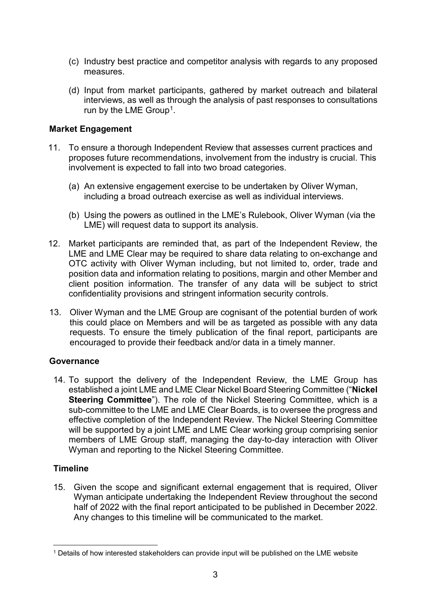- (c) Industry best practice and competitor analysis with regards to any proposed measures.
- (d) Input from market participants, gathered by market outreach and bilateral interviews, as well as through the analysis of past responses to consultations run by the LME Group<sup>[1](#page-2-0)</sup>.

## **Market Engagement**

- 11. To ensure a thorough Independent Review that assesses current practices and proposes future recommendations, involvement from the industry is crucial. This involvement is expected to fall into two broad categories.
	- (a) An extensive engagement exercise to be undertaken by Oliver Wyman, including a broad outreach exercise as well as individual interviews.
	- (b) Using the powers as outlined in the LME's Rulebook, Oliver Wyman (via the LME) will request data to support its analysis.
- 12. Market participants are reminded that, as part of the Independent Review, the LME and LME Clear may be required to share data relating to on-exchange and OTC activity with Oliver Wyman including, but not limited to, order, trade and position data and information relating to positions, margin and other Member and client position information. The transfer of any data will be subject to strict confidentiality provisions and stringent information security controls.
- 13. Oliver Wyman and the LME Group are cognisant of the potential burden of work this could place on Members and will be as targeted as possible with any data requests. To ensure the timely publication of the final report, participants are encouraged to provide their feedback and/or data in a timely manner.

### **Governance**

14. To support the delivery of the Independent Review, the LME Group has established a joint LME and LME Clear Nickel Board Steering Committee ("**Nickel Steering Committee**"). The role of the Nickel Steering Committee, which is a sub-committee to the LME and LME Clear Boards, is to oversee the progress and effective completion of the Independent Review. The Nickel Steering Committee will be supported by a joint LME and LME Clear working group comprising senior members of LME Group staff, managing the day-to-day interaction with Oliver Wyman and reporting to the Nickel Steering Committee.

## **Timeline**

15. Given the scope and significant external engagement that is required, Oliver Wyman anticipate undertaking the Independent Review throughout the second half of 2022 with the final report anticipated to be published in December 2022. Any changes to this timeline will be communicated to the market.

<span id="page-2-0"></span> <sup>1</sup> Details of how interested stakeholders can provide input will be published on the LME website